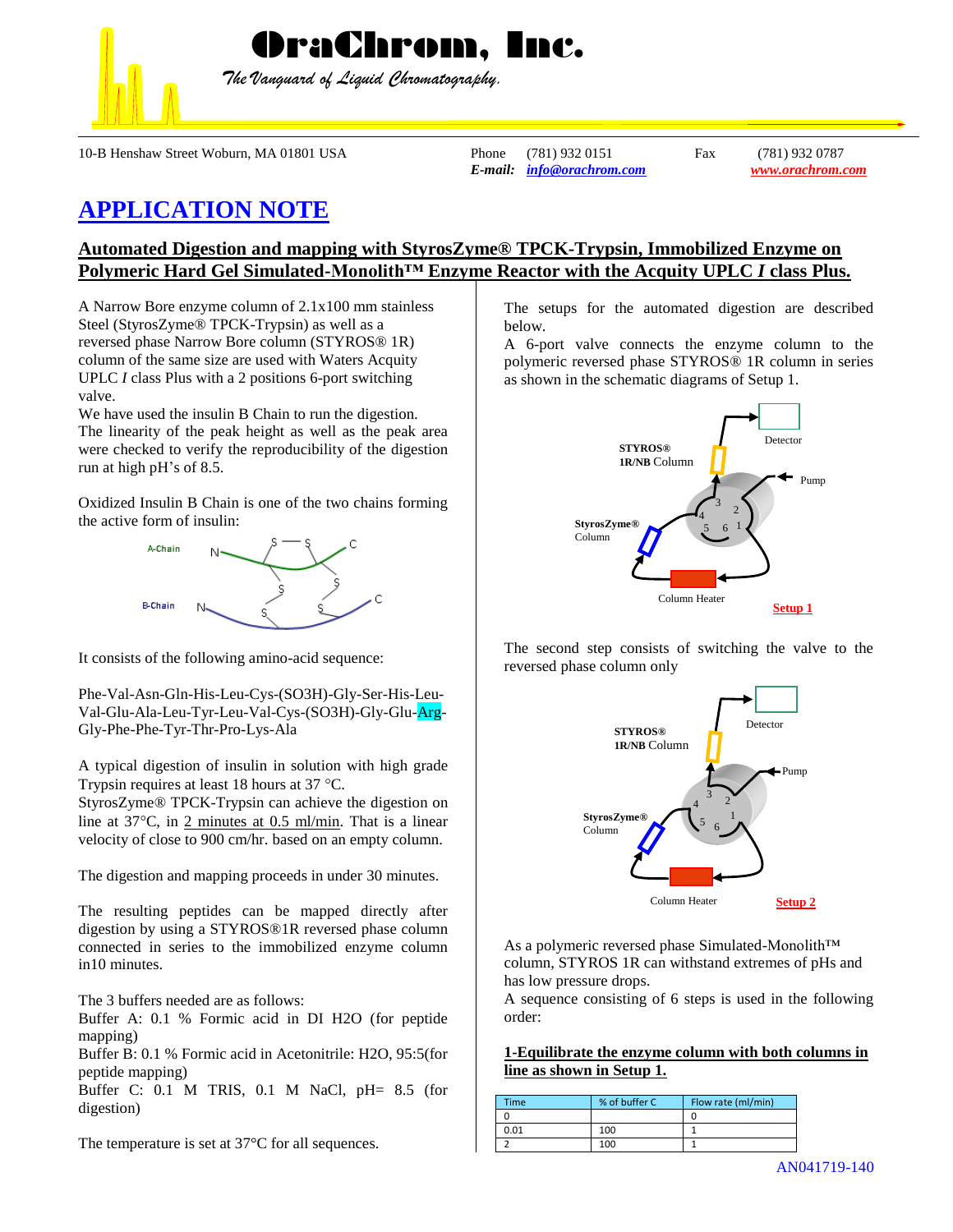

*The Vanguard of Liquid Chromatography.*

10-B Henshaw Street Woburn, MA 01801 USA Phone (781) 932 0151 Fax (781) 932 0787

*E-mail: [info@orachrom.com](mailto:info@orachrom.com) www.orachrom.com*

## **APPLICATION NOTE**

## **Automated Digestion and mapping with StyrosZyme® TPCK-Trypsin, Immobilized Enzyme on Polymeric Hard Gel Simulated-Monolith™ Enzyme Reactor with the Acquity UPLC** *I* **class Plus.**

A Narrow Bore enzyme column of 2.1x100 mm stainless Steel (StyrosZyme® TPCK-Trypsin) as well as a reversed phase Narrow Bore column (STYROS® 1R) column of the same size are used with Waters Acquity UPLC *I* class Plus with a 2 positions 6-port switching valve.

We have used the insulin B Chain to run the digestion. The linearity of the peak height as well as the peak area were checked to verify the reproducibility of the digestion run at high pH's of 8.5.

Oxidized Insulin B Chain is one of the two chains forming the active form of insulin:



It consists of the following amino-acid sequence:

Phe-Val-Asn-Gln-His-Leu-Cys-(SO3H)-Gly-Ser-His-Leu-Val-Glu-Ala-Leu-Tyr-Leu-Val-Cys-(SO3H)-Gly-Glu-Arg-Gly-Phe-Phe-Tyr-Thr-Pro-Lys-Ala

A typical digestion of insulin in solution with high grade Trypsin requires at least 18 hours at  $37 \text{ °C}$ .

StyrosZyme® TPCK-Trypsin can achieve the digestion on line at  $37^{\circ}$ C, in 2 minutes at 0.5 ml/min. That is a linear velocity of close to 900 cm/hr. based on an empty column.

The digestion and mapping proceeds in under 30 minutes.

The resulting peptides can be mapped directly after digestion by using a STYROS®1R reversed phase column connected in series to the immobilized enzyme column in10 minutes.

The 3 buffers needed are as follows:

Buffer A: 0.1 % Formic acid in DI H2O (for peptide mapping)

Buffer B: 0.1 % Formic acid in Acetonitrile: H2O, 95:5(for peptide mapping)

Buffer C: 0.1 M TRIS, 0.1 M NaCl, pH= 8.5 (for digestion)

The temperature is set at 37°C for all sequences.

The setups for the automated digestion are described below.

A 6-port valve connects the enzyme column to the polymeric reversed phase STYROS® 1R column in series as shown in the schematic diagrams of Setup 1.



The second step consists of switching the valve to the reversed phase column only



As a polymeric reversed phase Simulated-Monolith™ column, STYROS 1R can withstand extremes of pHs and has low pressure drops.

A sequence consisting of 6 steps is used in the following order:

**1-Equilibrate the enzyme column with both columns in line as shown in Setup 1.**

| Time | % of buffer C | Flow rate (ml/min) |
|------|---------------|--------------------|
|      |               |                    |
| 0.01 | 100           |                    |
|      | 100           |                    |